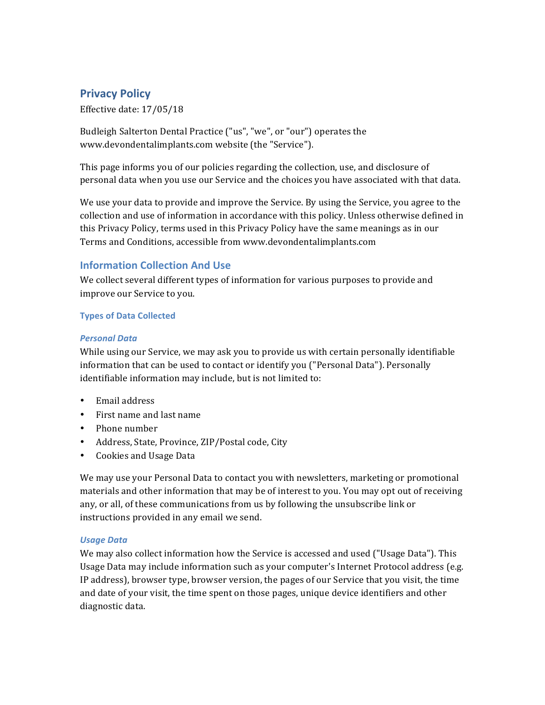# **Privacy Policy**

Effective date: 17/05/18

Budleigh Salterton Dental Practice ("us", "we", or "our") operates the www.devondentalimplants.com website (the "Service").

This page informs you of our policies regarding the collection, use, and disclosure of personal data when you use our Service and the choices you have associated with that data.

We use your data to provide and improve the Service. By using the Service, you agree to the collection and use of information in accordance with this policy. Unless otherwise defined in this Privacy Policy, terms used in this Privacy Policy have the same meanings as in our Terms and Conditions, accessible from www.devondentalimplants.com

## **Information Collection And Use**

We collect several different types of information for various purposes to provide and improve our Service to you.

#### **Types of Data Collected**

#### *Personal Data*

While using our Service, we may ask you to provide us with certain personally identifiable information that can be used to contact or identify you ("Personal Data"). Personally identifiable information may include, but is not limited to:

- Email address
- First name and last name
- Phone number
- Address, State, Province, ZIP/Postal code, City
- Cookies and Usage Data

We may use your Personal Data to contact you with newsletters, marketing or promotional materials and other information that may be of interest to you. You may opt out of receiving any, or all, of these communications from us by following the unsubscribe link or instructions provided in any email we send.

#### *Usage Data*

We may also collect information how the Service is accessed and used ("Usage Data"). This Usage Data may include information such as your computer's Internet Protocol address (e.g. IP address), browser type, browser version, the pages of our Service that you visit, the time and date of your visit, the time spent on those pages, unique device identifiers and other diagnostic data.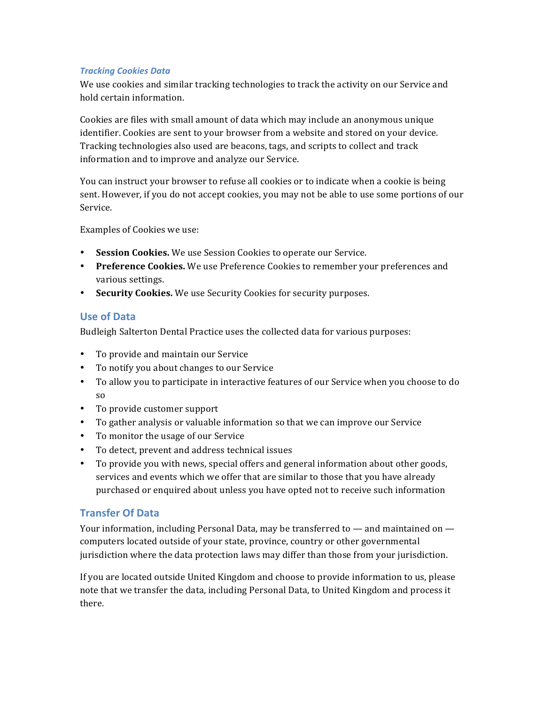#### *Tracking Cookies Data*

We use cookies and similar tracking technologies to track the activity on our Service and hold certain information.

Cookies are files with small amount of data which may include an anonymous unique identifier. Cookies are sent to your browser from a website and stored on your device. Tracking technologies also used are beacons, tags, and scripts to collect and track information and to improve and analyze our Service.

You can instruct your browser to refuse all cookies or to indicate when a cookie is being sent. However, if you do not accept cookies, you may not be able to use some portions of our Service.

Examples of Cookies we use:

- Session Cookies. We use Session Cookies to operate our Service.
- **Preference Cookies.** We use Preference Cookies to remember your preferences and various settings.
- Security Cookies. We use Security Cookies for security purposes.

## **Use of Data**

Budleigh Salterton Dental Practice uses the collected data for various purposes:

- To provide and maintain our Service
- To notify you about changes to our Service
- To allow you to participate in interactive features of our Service when you choose to do so
- To provide customer support
- To gather analysis or valuable information so that we can improve our Service
- To monitor the usage of our Service
- To detect, prevent and address technical issues
- To provide you with news, special offers and general information about other goods, services and events which we offer that are similar to those that you have already purchased or enquired about unless you have opted not to receive such information

# **Transfer Of Data**

Your information, including Personal Data, may be transferred to  $-$  and maintained on  $$ computers located outside of your state, province, country or other governmental jurisdiction where the data protection laws may differ than those from your jurisdiction.

If you are located outside United Kingdom and choose to provide information to us, please note that we transfer the data, including Personal Data, to United Kingdom and process it there.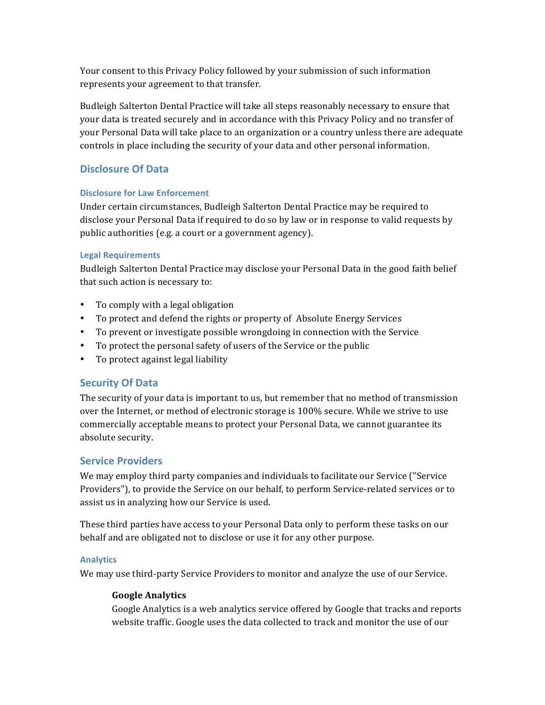Your consent to this Privacy Policy followed by your submission of such information represents your agreement to that transfer.

Budleigh Salterton Dental Practice will take all steps reasonably necessary to ensure that your data is treated securely and in accordance with this Privacy Policy and no transfer of your Personal Data will take place to an organization or a country unless there are adequate controls in place including the security of your data and other personal information.

# **Disclosure Of Data**

#### **Disclosure for Law Enforcement**

Under certain circumstances, Budleigh Salterton Dental Practice may be required to disclose your Personal Data if required to do so by law or in response to valid requests by public authorities (e.g. a court or a government agency).

#### **Legal Requirements**

Budleigh Salterton Dental Practice may disclose your Personal Data in the good faith belief that such action is necessary to:

- To comply with a legal obligation
- To protect and defend the rights or property of Absolute Energy Services
- To prevent or investigate possible wrongdoing in connection with the Service
- To protect the personal safety of users of the Service or the public
- To protect against legal liability

# **Security Of Data**

The security of your data is important to us, but remember that no method of transmission over the Internet, or method of electronic storage is 100% secure. While we strive to use commercially acceptable means to protect your Personal Data, we cannot guarantee its absolute security.

## **Service Providers**

We may employ third party companies and individuals to facilitate our Service ("Service Providers"), to provide the Service on our behalf, to perform Service-related services or to assist us in analyzing how our Service is used.

These third parties have access to your Personal Data only to perform these tasks on our behalf and are obligated not to disclose or use it for any other purpose.

## **Analytics**

We may use third-party Service Providers to monitor and analyze the use of our Service.

## **Google Analytics**

Google Analytics is a web analytics service offered by Google that tracks and reports website traffic. Google uses the data collected to track and monitor the use of our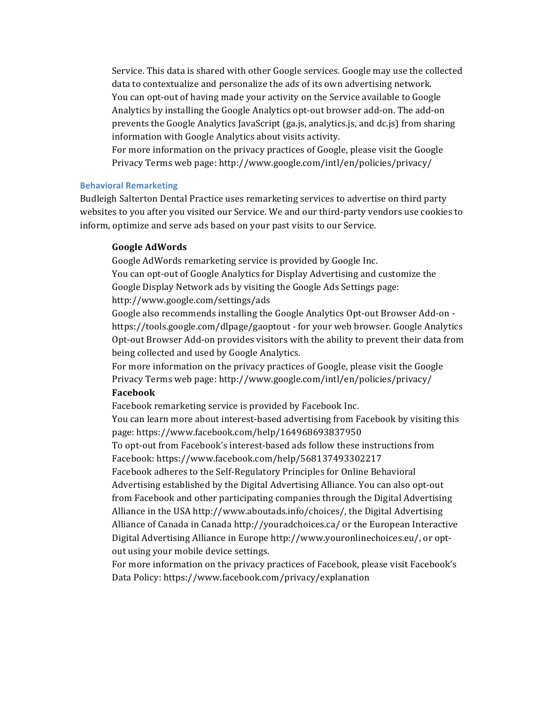Service. This data is shared with other Google services. Google may use the collected data to contextualize and personalize the ads of its own advertising network. You can opt-out of having made your activity on the Service available to Google Analytics by installing the Google Analytics opt-out browser add-on. The add-on prevents the Google Analytics JavaScript (ga.js, analytics.js, and dc.js) from sharing information with Google Analytics about visits activity.

For more information on the privacy practices of Google, please visit the Google Privacy Terms web page: http://www.google.com/intl/en/policies/privacy/

#### **Behavioral Remarketing**

Budleigh Salterton Dental Practice uses remarketing services to advertise on third party websites to you after you visited our Service. We and our third-party vendors use cookies to inform, optimize and serve ads based on your past visits to our Service.

#### **Google AdWords**

Google AdWords remarketing service is provided by Google Inc. You can opt-out of Google Analytics for Display Advertising and customize the Google Display Network ads by visiting the Google Ads Settings page:

http://www.google.com/settings/ads

Google also recommends installing the Google Analytics Opt-out Browser Add-on https://tools.google.com/dlpage/gaoptout - for your web browser. Google Analytics Opt-out Browser Add-on provides visitors with the ability to prevent their data from being collected and used by Google Analytics.

For more information on the privacy practices of Google, please visit the Google Privacy Terms web page: http://www.google.com/intl/en/policies/privacy/ **Facebook**

Facebook remarketing service is provided by Facebook Inc.

You can learn more about interest-based advertising from Facebook by visiting this page: https://www.facebook.com/help/164968693837950

To opt-out from Facebook's interest-based ads follow these instructions from Facebook: https://www.facebook.com/help/568137493302217

Facebook adheres to the Self-Regulatory Principles for Online Behavioral Advertising established by the Digital Advertising Alliance. You can also opt-out from Facebook and other participating companies through the Digital Advertising Alliance in the USA http://www.aboutads.info/choices/, the Digital Advertising Alliance of Canada in Canada http://youradchoices.ca/ or the European Interactive Digital Advertising Alliance in Europe http://www.youronlinechoices.eu/, or optout using your mobile device settings.

For more information on the privacy practices of Facebook, please visit Facebook's Data Policy: https://www.facebook.com/privacy/explanation